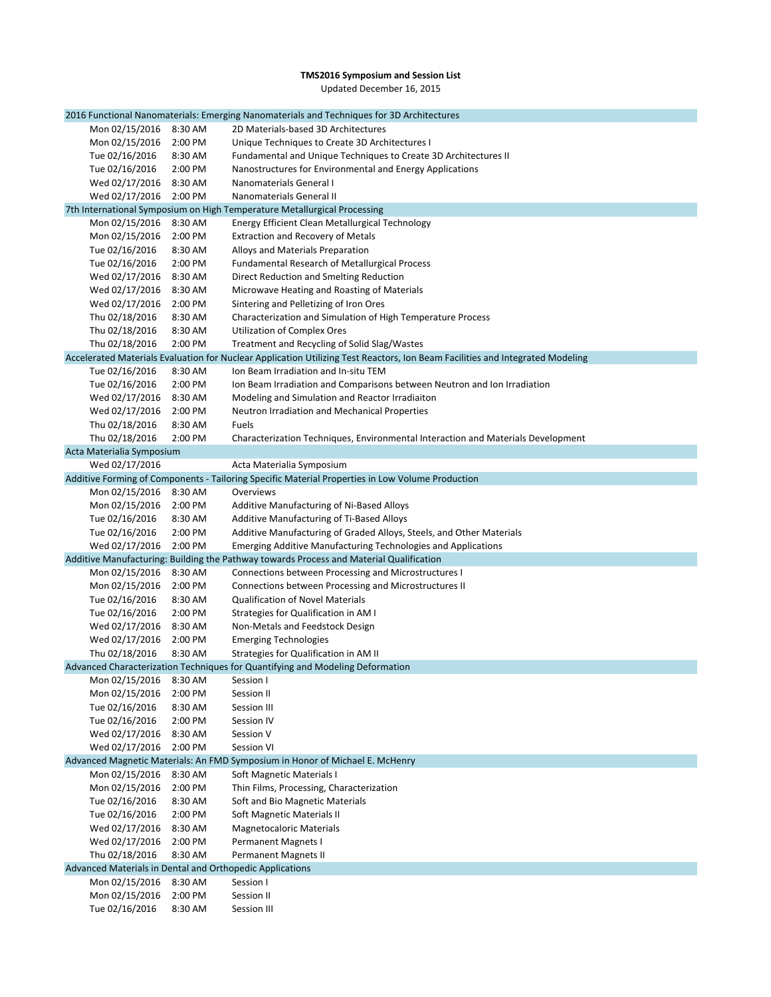## **TMS2016 Symposium and Session List** Updated December 16, 2015

|                                                          |         | 2016 Functional Nanomaterials: Emerging Nanomaterials and Techniques for 3D Architectures                                     |
|----------------------------------------------------------|---------|-------------------------------------------------------------------------------------------------------------------------------|
| Mon 02/15/2016                                           | 8:30 AM | 2D Materials-based 3D Architectures                                                                                           |
| Mon 02/15/2016                                           | 2:00 PM | Unique Techniques to Create 3D Architectures I                                                                                |
| Tue 02/16/2016                                           | 8:30 AM | Fundamental and Unique Techniques to Create 3D Architectures II                                                               |
| Tue 02/16/2016                                           | 2:00 PM | Nanostructures for Environmental and Energy Applications                                                                      |
| Wed 02/17/2016                                           | 8:30 AM | Nanomaterials General I                                                                                                       |
| Wed 02/17/2016                                           | 2:00 PM | Nanomaterials General II                                                                                                      |
|                                                          |         | 7th International Symposium on High Temperature Metallurgical Processing                                                      |
| Mon 02/15/2016                                           | 8:30 AM | Energy Efficient Clean Metallurgical Technology                                                                               |
| Mon 02/15/2016                                           | 2:00 PM | <b>Extraction and Recovery of Metals</b>                                                                                      |
| Tue 02/16/2016                                           | 8:30 AM | Alloys and Materials Preparation                                                                                              |
| Tue 02/16/2016                                           | 2:00 PM | <b>Fundamental Research of Metallurgical Process</b>                                                                          |
| Wed 02/17/2016                                           | 8:30 AM | Direct Reduction and Smelting Reduction                                                                                       |
| Wed 02/17/2016                                           | 8:30 AM | Microwave Heating and Roasting of Materials                                                                                   |
| Wed 02/17/2016                                           | 2:00 PM | Sintering and Pelletizing of Iron Ores                                                                                        |
| Thu 02/18/2016                                           | 8:30 AM | Characterization and Simulation of High Temperature Process                                                                   |
| Thu 02/18/2016                                           | 8:30 AM | <b>Utilization of Complex Ores</b>                                                                                            |
| Thu 02/18/2016                                           | 2:00 PM | Treatment and Recycling of Solid Slag/Wastes                                                                                  |
|                                                          |         |                                                                                                                               |
|                                                          |         | Accelerated Materials Evaluation for Nuclear Application Utilizing Test Reactors, Ion Beam Facilities and Integrated Modeling |
| Tue 02/16/2016                                           | 8:30 AM | Ion Beam Irradiation and In-situ TEM                                                                                          |
| Tue 02/16/2016                                           | 2:00 PM | Ion Beam Irradiation and Comparisons between Neutron and Ion Irradiation                                                      |
| Wed 02/17/2016                                           | 8:30 AM | Modeling and Simulation and Reactor Irradiaiton                                                                               |
| Wed 02/17/2016                                           | 2:00 PM | Neutron Irradiation and Mechanical Properties                                                                                 |
| Thu 02/18/2016                                           | 8:30 AM | Fuels                                                                                                                         |
| Thu 02/18/2016                                           | 2:00 PM | Characterization Techniques, Environmental Interaction and Materials Development                                              |
| Acta Materialia Symposium                                |         |                                                                                                                               |
| Wed 02/17/2016                                           |         | Acta Materialia Symposium                                                                                                     |
|                                                          |         | Additive Forming of Components - Tailoring Specific Material Properties in Low Volume Production                              |
| Mon 02/15/2016                                           | 8:30 AM | Overviews                                                                                                                     |
| Mon 02/15/2016                                           | 2:00 PM | Additive Manufacturing of Ni-Based Alloys                                                                                     |
| Tue 02/16/2016                                           | 8:30 AM | <b>Additive Manufacturing of Ti-Based Alloys</b>                                                                              |
| Tue 02/16/2016                                           | 2:00 PM | Additive Manufacturing of Graded Alloys, Steels, and Other Materials                                                          |
| Wed 02/17/2016                                           | 2:00 PM | <b>Emerging Additive Manufacturing Technologies and Applications</b>                                                          |
|                                                          |         | Additive Manufacturing: Building the Pathway towards Process and Material Qualification                                       |
| Mon 02/15/2016                                           | 8:30 AM | Connections between Processing and Microstructures I                                                                          |
| Mon 02/15/2016                                           | 2:00 PM | Connections between Processing and Microstructures II                                                                         |
| Tue 02/16/2016                                           | 8:30 AM | <b>Qualification of Novel Materials</b>                                                                                       |
| Tue 02/16/2016                                           | 2:00 PM | Strategies for Qualification in AM I                                                                                          |
| Wed 02/17/2016                                           | 8:30 AM | Non-Metals and Feedstock Design                                                                                               |
| Wed 02/17/2016                                           | 2:00 PM | <b>Emerging Technologies</b>                                                                                                  |
| Thu 02/18/2016                                           | 8:30 AM | Strategies for Qualification in AM II                                                                                         |
|                                                          |         | Advanced Characterization Techniques for Quantifying and Modeling Deformation                                                 |
| Mon 02/15/2016                                           | 8:30 AM | Session I                                                                                                                     |
| Mon 02/15/2016                                           | 2:00 PM | Session II                                                                                                                    |
| Tue 02/16/2016                                           | 8:30 AM | Session III                                                                                                                   |
| Tue 02/16/2016                                           | 2:00 PM | Session IV                                                                                                                    |
| Wed 02/17/2016                                           | 8:30 AM | Session V                                                                                                                     |
| Wed 02/17/2016                                           | 2:00 PM | Session VI                                                                                                                    |
|                                                          |         | Advanced Magnetic Materials: An FMD Symposium in Honor of Michael E. McHenry                                                  |
| Mon 02/15/2016                                           | 8:30 AM | Soft Magnetic Materials I                                                                                                     |
| Mon 02/15/2016                                           | 2:00 PM | Thin Films, Processing, Characterization                                                                                      |
| Tue 02/16/2016                                           | 8:30 AM | Soft and Bio Magnetic Materials                                                                                               |
| Tue 02/16/2016                                           | 2:00 PM | Soft Magnetic Materials II                                                                                                    |
| Wed 02/17/2016                                           | 8:30 AM | <b>Magnetocaloric Materials</b>                                                                                               |
| Wed 02/17/2016                                           | 2:00 PM | <b>Permanent Magnets I</b>                                                                                                    |
| Thu 02/18/2016                                           | 8:30 AM | <b>Permanent Magnets II</b>                                                                                                   |
| Advanced Materials in Dental and Orthopedic Applications |         |                                                                                                                               |
| Mon 02/15/2016                                           | 8:30 AM | Session I                                                                                                                     |
| Mon 02/15/2016                                           | 2:00 PM | Session II                                                                                                                    |
| Tue 02/16/2016                                           | 8:30 AM | Session III                                                                                                                   |
|                                                          |         |                                                                                                                               |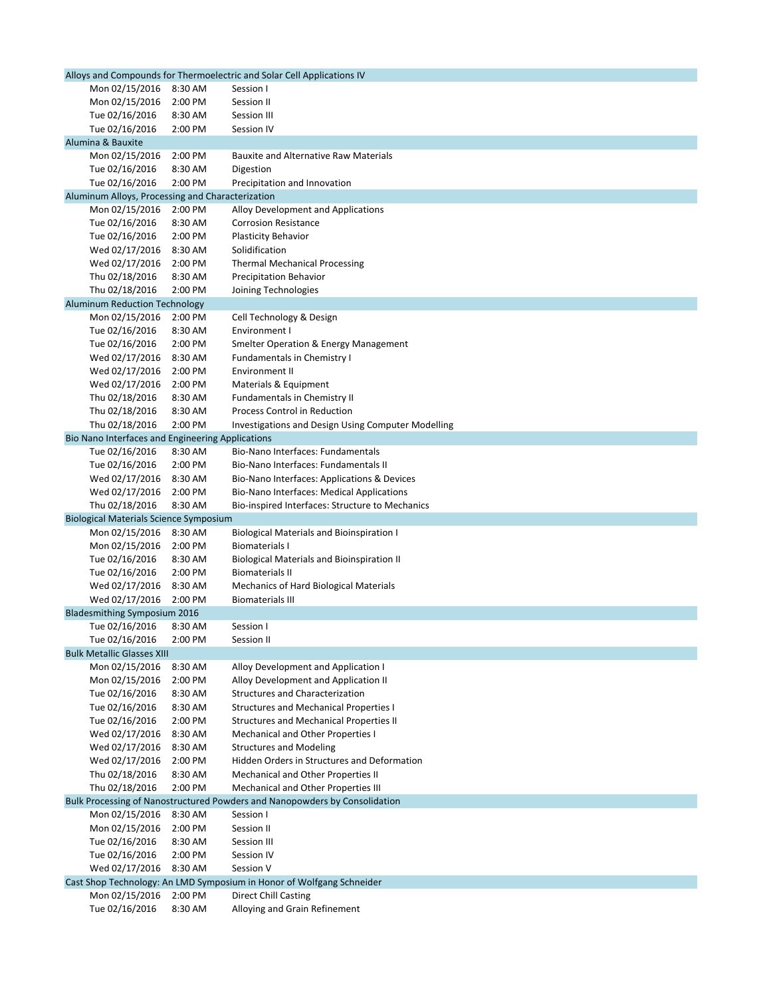| Alloys and Compounds for Thermoelectric and Solar Cell Applications IV |                                                  |         |                                                                            |
|------------------------------------------------------------------------|--------------------------------------------------|---------|----------------------------------------------------------------------------|
|                                                                        | Mon 02/15/2016                                   | 8:30 AM | Session I                                                                  |
|                                                                        | Mon 02/15/2016                                   | 2:00 PM | Session II                                                                 |
|                                                                        | Tue 02/16/2016                                   | 8:30 AM | Session III                                                                |
|                                                                        | Tue 02/16/2016                                   | 2:00 PM | Session IV                                                                 |
|                                                                        | Alumina & Bauxite                                |         |                                                                            |
|                                                                        | Mon 02/15/2016                                   | 2:00 PM | <b>Bauxite and Alternative Raw Materials</b>                               |
|                                                                        | Tue 02/16/2016                                   | 8:30 AM | Digestion                                                                  |
|                                                                        | Tue 02/16/2016                                   | 2:00 PM | Precipitation and Innovation                                               |
|                                                                        | Aluminum Alloys, Processing and Characterization |         |                                                                            |
|                                                                        | Mon 02/15/2016                                   | 2:00 PM | Alloy Development and Applications                                         |
|                                                                        | Tue 02/16/2016                                   | 8:30 AM | <b>Corrosion Resistance</b>                                                |
|                                                                        | Tue 02/16/2016                                   | 2:00 PM | Plasticity Behavior                                                        |
|                                                                        | Wed 02/17/2016                                   | 8:30 AM | Solidification                                                             |
|                                                                        | Wed 02/17/2016                                   | 2:00 PM | <b>Thermal Mechanical Processing</b>                                       |
|                                                                        | Thu 02/18/2016                                   | 8:30 AM | <b>Precipitation Behavior</b>                                              |
|                                                                        | Thu 02/18/2016                                   | 2:00 PM | Joining Technologies                                                       |
|                                                                        | <b>Aluminum Reduction Technology</b>             |         |                                                                            |
|                                                                        | Mon 02/15/2016                                   | 2:00 PM | Cell Technology & Design                                                   |
|                                                                        | Tue 02/16/2016                                   | 8:30 AM | Environment I                                                              |
|                                                                        | Tue 02/16/2016                                   | 2:00 PM | <b>Smelter Operation &amp; Energy Management</b>                           |
|                                                                        | Wed 02/17/2016                                   | 8:30 AM | <b>Fundamentals in Chemistry I</b>                                         |
|                                                                        | Wed 02/17/2016                                   | 2:00 PM | Environment II                                                             |
|                                                                        | Wed 02/17/2016                                   | 2:00 PM | Materials & Equipment                                                      |
|                                                                        | Thu 02/18/2016                                   | 8:30 AM | Fundamentals in Chemistry II                                               |
|                                                                        | Thu 02/18/2016                                   | 8:30 AM | <b>Process Control in Reduction</b>                                        |
|                                                                        | Thu 02/18/2016                                   | 2:00 PM | <b>Investigations and Design Using Computer Modelling</b>                  |
|                                                                        | Bio Nano Interfaces and Engineering Applications |         |                                                                            |
|                                                                        | Tue 02/16/2016                                   | 8:30 AM | Bio-Nano Interfaces: Fundamentals                                          |
|                                                                        | Tue 02/16/2016                                   | 2:00 PM | Bio-Nano Interfaces: Fundamentals II                                       |
|                                                                        | Wed 02/17/2016                                   | 8:30 AM | Bio-Nano Interfaces: Applications & Devices                                |
|                                                                        | Wed 02/17/2016                                   | 2:00 PM | <b>Bio-Nano Interfaces: Medical Applications</b>                           |
|                                                                        | Thu 02/18/2016                                   | 8:30 AM | Bio-inspired Interfaces: Structure to Mechanics                            |
|                                                                        | <b>Biological Materials Science Symposium</b>    |         |                                                                            |
|                                                                        | Mon 02/15/2016                                   | 8:30 AM | <b>Biological Materials and Bioinspiration I</b>                           |
|                                                                        | Mon 02/15/2016                                   | 2:00 PM | <b>Biomaterials I</b>                                                      |
|                                                                        | Tue 02/16/2016                                   | 8:30 AM | <b>Biological Materials and Bioinspiration II</b>                          |
|                                                                        | Tue 02/16/2016                                   | 2:00 PM | <b>Biomaterials II</b>                                                     |
|                                                                        | Wed 02/17/2016                                   | 8:30 AM | Mechanics of Hard Biological Materials                                     |
|                                                                        | Wed 02/17/2016                                   | 2:00 PM | <b>Biomaterials III</b>                                                    |
|                                                                        | <b>Bladesmithing Symposium 2016</b>              |         |                                                                            |
|                                                                        | Tue 02/16/2016                                   | 8:30 AM | Session I                                                                  |
|                                                                        | Tue 02/16/2016                                   | 2:00 PM | Session II                                                                 |
|                                                                        | <b>Bulk Metallic Glasses XIII</b>                |         |                                                                            |
|                                                                        | Mon 02/15/2016                                   | 8:30 AM | Alloy Development and Application I                                        |
|                                                                        | Mon 02/15/2016                                   | 2:00 PM | Alloy Development and Application II                                       |
|                                                                        | Tue 02/16/2016                                   | 8:30 AM | <b>Structures and Characterization</b>                                     |
|                                                                        | Tue 02/16/2016                                   | 8:30 AM | <b>Structures and Mechanical Properties I</b>                              |
|                                                                        | Tue 02/16/2016                                   | 2:00 PM | <b>Structures and Mechanical Properties II</b>                             |
|                                                                        | Wed 02/17/2016                                   | 8:30 AM | Mechanical and Other Properties I                                          |
|                                                                        | Wed 02/17/2016                                   | 8:30 AM | <b>Structures and Modeling</b>                                             |
|                                                                        | Wed 02/17/2016                                   | 2:00 PM | Hidden Orders in Structures and Deformation                                |
|                                                                        | Thu 02/18/2016                                   | 8:30 AM | Mechanical and Other Properties II                                         |
|                                                                        | Thu 02/18/2016                                   | 2:00 PM | Mechanical and Other Properties III                                        |
|                                                                        |                                                  |         | Bulk Processing of Nanostructured Powders and Nanopowders by Consolidation |
|                                                                        | Mon 02/15/2016                                   | 8:30 AM | Session I                                                                  |
|                                                                        | Mon 02/15/2016                                   | 2:00 PM | Session II                                                                 |
|                                                                        | Tue 02/16/2016                                   | 8:30 AM | Session III                                                                |
|                                                                        | Tue 02/16/2016                                   | 2:00 PM | Session IV                                                                 |
|                                                                        | Wed 02/17/2016                                   | 8:30 AM | Session V                                                                  |
|                                                                        |                                                  |         | Cast Shop Technology: An LMD Symposium in Honor of Wolfgang Schneider      |
|                                                                        | Mon 02/15/2016                                   | 2:00 PM | <b>Direct Chill Casting</b>                                                |
|                                                                        | Tue 02/16/2016                                   | 8:30 AM | Alloying and Grain Refinement                                              |
|                                                                        |                                                  |         |                                                                            |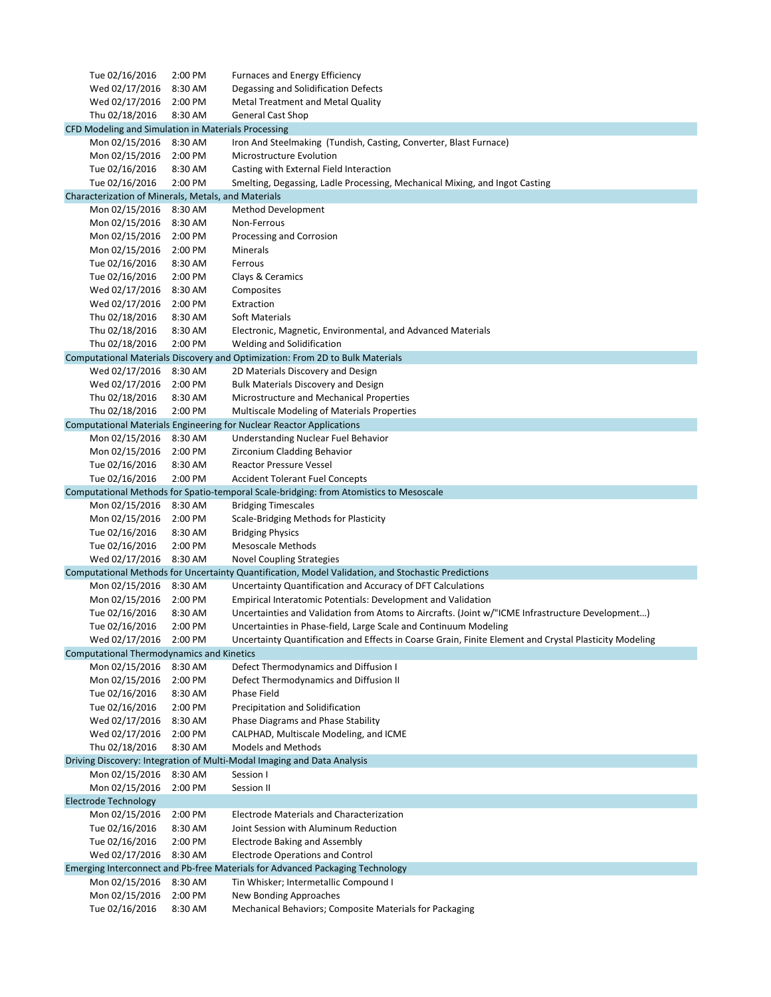| Tue 02/16/2016                                      | 2:00 PM | <b>Furnaces and Energy Efficiency</b>                                                                  |
|-----------------------------------------------------|---------|--------------------------------------------------------------------------------------------------------|
| Wed 02/17/2016                                      | 8:30 AM | Degassing and Solidification Defects                                                                   |
| Wed 02/17/2016                                      | 2:00 PM | <b>Metal Treatment and Metal Quality</b>                                                               |
| Thu 02/18/2016                                      | 8:30 AM | <b>General Cast Shop</b>                                                                               |
| CFD Modeling and Simulation in Materials Processing |         |                                                                                                        |
| Mon 02/15/2016                                      | 8:30 AM | Iron And Steelmaking (Tundish, Casting, Converter, Blast Furnace)                                      |
| Mon 02/15/2016                                      | 2:00 PM | Microstructure Evolution                                                                               |
| Tue 02/16/2016                                      | 8:30 AM | Casting with External Field Interaction                                                                |
|                                                     |         |                                                                                                        |
| Tue 02/16/2016                                      | 2:00 PM | Smelting, Degassing, Ladle Processing, Mechanical Mixing, and Ingot Casting                            |
| Characterization of Minerals, Metals, and Materials |         |                                                                                                        |
| Mon 02/15/2016                                      | 8:30 AM | <b>Method Development</b>                                                                              |
| Mon 02/15/2016                                      | 8:30 AM | Non-Ferrous                                                                                            |
| Mon 02/15/2016                                      | 2:00 PM | Processing and Corrosion                                                                               |
| Mon 02/15/2016                                      | 2:00 PM | Minerals                                                                                               |
| Tue 02/16/2016                                      | 8:30 AM | Ferrous                                                                                                |
| Tue 02/16/2016                                      | 2:00 PM | Clays & Ceramics                                                                                       |
| Wed 02/17/2016                                      | 8:30 AM | Composites                                                                                             |
| Wed 02/17/2016                                      | 2:00 PM | Extraction                                                                                             |
| Thu 02/18/2016                                      | 8:30 AM | <b>Soft Materials</b>                                                                                  |
| Thu 02/18/2016                                      | 8:30 AM | Electronic, Magnetic, Environmental, and Advanced Materials                                            |
| Thu 02/18/2016                                      | 2:00 PM | Welding and Solidification                                                                             |
|                                                     |         | Computational Materials Discovery and Optimization: From 2D to Bulk Materials                          |
| Wed 02/17/2016                                      | 8:30 AM | 2D Materials Discovery and Design                                                                      |
| Wed 02/17/2016                                      | 2:00 PM | <b>Bulk Materials Discovery and Design</b>                                                             |
| Thu 02/18/2016                                      | 8:30 AM | Microstructure and Mechanical Properties                                                               |
|                                                     |         |                                                                                                        |
| Thu 02/18/2016                                      | 2:00 PM | <b>Multiscale Modeling of Materials Properties</b>                                                     |
|                                                     |         | Computational Materials Engineering for Nuclear Reactor Applications                                   |
| Mon 02/15/2016                                      | 8:30 AM | Understanding Nuclear Fuel Behavior                                                                    |
| Mon 02/15/2016                                      | 2:00 PM | Zirconium Cladding Behavior                                                                            |
| Tue 02/16/2016                                      | 8:30 AM | <b>Reactor Pressure Vessel</b>                                                                         |
| Tue 02/16/2016                                      | 2:00 PM | <b>Accident Tolerant Fuel Concepts</b>                                                                 |
|                                                     |         | Computational Methods for Spatio-temporal Scale-bridging: from Atomistics to Mesoscale                 |
| Mon 02/15/2016                                      | 8:30 AM | <b>Bridging Timescales</b>                                                                             |
| Mon 02/15/2016                                      | 2:00 PM | Scale-Bridging Methods for Plasticity                                                                  |
| Tue 02/16/2016                                      | 8:30 AM | <b>Bridging Physics</b>                                                                                |
| Tue 02/16/2016                                      | 2:00 PM | <b>Mesoscale Methods</b>                                                                               |
| Wed 02/17/2016                                      | 8:30 AM | <b>Novel Coupling Strategies</b>                                                                       |
|                                                     |         | Computational Methods for Uncertainty Quantification, Model Validation, and Stochastic Predictions     |
| Mon 02/15/2016                                      | 8:30 AM | Uncertainty Quantification and Accuracy of DFT Calculations                                            |
| Mon 02/15/2016                                      | 2:00 PM | Empirical Interatomic Potentials: Development and Validation                                           |
| Tue 02/16/2016                                      | 8:30 AM | Uncertainties and Validation from Atoms to Aircrafts. (Joint w/"ICME Infrastructure Development)       |
| Tue 02/16/2016                                      | 2:00 PM | Uncertainties in Phase-field, Large Scale and Continuum Modeling                                       |
| Wed 02/17/2016                                      | 2:00 PM | Uncertainty Quantification and Effects in Coarse Grain, Finite Element and Crystal Plasticity Modeling |
| <b>Computational Thermodynamics and Kinetics</b>    |         |                                                                                                        |
| Mon 02/15/2016                                      | 8:30 AM | Defect Thermodynamics and Diffusion I                                                                  |
| Mon 02/15/2016                                      | 2:00 PM | Defect Thermodynamics and Diffusion II                                                                 |
| Tue 02/16/2016                                      | 8:30 AM | <b>Phase Field</b>                                                                                     |
| Tue 02/16/2016                                      | 2:00 PM |                                                                                                        |
|                                                     |         | Precipitation and Solidification                                                                       |
| Wed 02/17/2016                                      | 8:30 AM | Phase Diagrams and Phase Stability                                                                     |
| Wed 02/17/2016                                      | 2:00 PM | CALPHAD, Multiscale Modeling, and ICME                                                                 |
| Thu 02/18/2016                                      | 8:30 AM | <b>Models and Methods</b>                                                                              |
|                                                     |         | Driving Discovery: Integration of Multi-Modal Imaging and Data Analysis                                |
| Mon 02/15/2016                                      | 8:30 AM | Session I                                                                                              |
| Mon 02/15/2016                                      | 2:00 PM | Session II                                                                                             |
| <b>Electrode Technology</b>                         |         |                                                                                                        |
| Mon 02/15/2016                                      | 2:00 PM | <b>Electrode Materials and Characterization</b>                                                        |
| Tue 02/16/2016                                      | 8:30 AM | Joint Session with Aluminum Reduction                                                                  |
| Tue 02/16/2016                                      | 2:00 PM | <b>Electrode Baking and Assembly</b>                                                                   |
| Wed 02/17/2016                                      | 8:30 AM | <b>Electrode Operations and Control</b>                                                                |
|                                                     |         | Emerging Interconnect and Pb-free Materials for Advanced Packaging Technology                          |
| Mon 02/15/2016                                      | 8:30 AM | Tin Whisker; Intermetallic Compound I                                                                  |
| Mon 02/15/2016                                      | 2:00 PM | New Bonding Approaches                                                                                 |
| Tue 02/16/2016                                      | 8:30 AM | Mechanical Behaviors; Composite Materials for Packaging                                                |
|                                                     |         |                                                                                                        |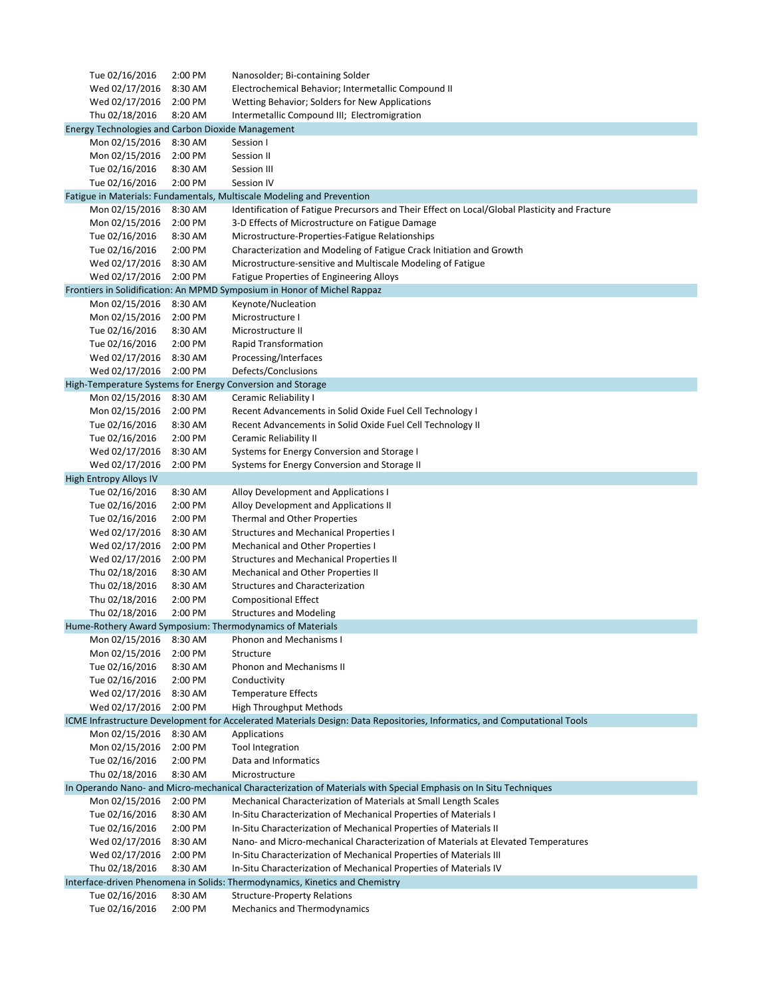| Tue 02/16/2016                                           | 2:00 PM            | Nanosolder; Bi-containing Solder                                                                                                   |
|----------------------------------------------------------|--------------------|------------------------------------------------------------------------------------------------------------------------------------|
| Wed 02/17/2016                                           | 8:30 AM            | Electrochemical Behavior; Intermetallic Compound II                                                                                |
| Wed 02/17/2016                                           | 2:00 PM            | Wetting Behavior; Solders for New Applications                                                                                     |
| Thu 02/18/2016                                           | 8:20 AM            | Intermetallic Compound III; Electromigration                                                                                       |
| <b>Energy Technologies and Carbon Dioxide Management</b> |                    |                                                                                                                                    |
| Mon 02/15/2016                                           | 8:30 AM            | Session I                                                                                                                          |
| Mon 02/15/2016                                           | 2:00 PM            | Session II                                                                                                                         |
| Tue 02/16/2016                                           | 8:30 AM            | Session III                                                                                                                        |
| Tue 02/16/2016                                           | 2:00 PM            | Session IV                                                                                                                         |
|                                                          |                    | Fatigue in Materials: Fundamentals, Multiscale Modeling and Prevention                                                             |
| Mon 02/15/2016                                           | 8:30 AM            | Identification of Fatigue Precursors and Their Effect on Local/Global Plasticity and Fracture                                      |
| Mon 02/15/2016                                           | 2:00 PM            | 3-D Effects of Microstructure on Fatigue Damage                                                                                    |
| Tue 02/16/2016                                           | 8:30 AM            | Microstructure-Properties-Fatigue Relationships                                                                                    |
| Tue 02/16/2016                                           | 2:00 PM            | Characterization and Modeling of Fatigue Crack Initiation and Growth                                                               |
| Wed 02/17/2016                                           | 8:30 AM            | Microstructure-sensitive and Multiscale Modeling of Fatigue                                                                        |
| Wed 02/17/2016                                           | 2:00 PM            | Fatigue Properties of Engineering Alloys                                                                                           |
|                                                          |                    | Frontiers in Solidification: An MPMD Symposium in Honor of Michel Rappaz                                                           |
| Mon 02/15/2016                                           | 8:30 AM            | Keynote/Nucleation                                                                                                                 |
| Mon 02/15/2016                                           | 2:00 PM            | Microstructure I                                                                                                                   |
| Tue 02/16/2016                                           | 8:30 AM            | Microstructure II                                                                                                                  |
| Tue 02/16/2016                                           | 2:00 PM            | <b>Rapid Transformation</b>                                                                                                        |
| Wed 02/17/2016                                           | 8:30 AM            | Processing/Interfaces                                                                                                              |
| Wed 02/17/2016                                           | 2:00 PM            | Defects/Conclusions                                                                                                                |
|                                                          |                    | High-Temperature Systems for Energy Conversion and Storage                                                                         |
| Mon 02/15/2016                                           | 8:30 AM            | Ceramic Reliability I                                                                                                              |
| Mon 02/15/2016                                           | 2:00 PM            | Recent Advancements in Solid Oxide Fuel Cell Technology I                                                                          |
| Tue 02/16/2016                                           | 8:30 AM            | Recent Advancements in Solid Oxide Fuel Cell Technology II                                                                         |
| Tue 02/16/2016                                           | 2:00 PM            | Ceramic Reliability II                                                                                                             |
| Wed 02/17/2016                                           | 8:30 AM            | Systems for Energy Conversion and Storage I                                                                                        |
| Wed 02/17/2016                                           | 2:00 PM            | Systems for Energy Conversion and Storage II                                                                                       |
| <b>High Entropy Alloys IV</b>                            |                    |                                                                                                                                    |
| Tue 02/16/2016                                           | 8:30 AM            | Alloy Development and Applications I                                                                                               |
| Tue 02/16/2016                                           | 2:00 PM            | Alloy Development and Applications II                                                                                              |
| Tue 02/16/2016                                           | 2:00 PM            | Thermal and Other Properties                                                                                                       |
| Wed 02/17/2016                                           | 8:30 AM            | <b>Structures and Mechanical Properties I</b>                                                                                      |
| Wed 02/17/2016                                           | 2:00 PM            | Mechanical and Other Properties I                                                                                                  |
| Wed 02/17/2016                                           | 2:00 PM            | <b>Structures and Mechanical Properties II</b>                                                                                     |
| Thu 02/18/2016                                           | 8:30 AM            | Mechanical and Other Properties II                                                                                                 |
| Thu 02/18/2016                                           | 8:30 AM            | <b>Structures and Characterization</b>                                                                                             |
| Thu 02/18/2016                                           | 2:00 PM            | <b>Compositional Effect</b>                                                                                                        |
| Thu 02/18/2016                                           | 2:00 PM            | <b>Structures and Modeling</b>                                                                                                     |
|                                                          |                    | Hume-Rothery Award Symposium: Thermodynamics of Materials                                                                          |
| Mon 02/15/2016                                           | 8:30 AM            | <b>Phonon and Mechanisms I</b>                                                                                                     |
| Mon 02/15/2016                                           | 2:00 PM            | Structure                                                                                                                          |
| Tue 02/16/2016                                           | 8:30 AM            | <b>Phonon and Mechanisms II</b>                                                                                                    |
| Tue 02/16/2016                                           | 2:00 PM            | Conductivity                                                                                                                       |
| Wed 02/17/2016                                           | 8:30 AM            | <b>Temperature Effects</b>                                                                                                         |
| Wed 02/17/2016                                           | 2:00 PM            | <b>High Throughput Methods</b>                                                                                                     |
|                                                          |                    | ICME Infrastructure Development for Accelerated Materials Design: Data Repositories, Informatics, and Computational Tools          |
| Mon 02/15/2016                                           | 8:30 AM            |                                                                                                                                    |
| Mon 02/15/2016                                           | 2:00 PM            | Applications<br><b>Tool Integration</b>                                                                                            |
|                                                          | 2:00 PM            | Data and Informatics                                                                                                               |
| Tue 02/16/2016                                           |                    |                                                                                                                                    |
| Thu 02/18/2016                                           | 8:30 AM            | Microstructure<br>In Operando Nano- and Micro-mechanical Characterization of Materials with Special Emphasis on In Situ Techniques |
|                                                          |                    |                                                                                                                                    |
| Mon 02/15/2016                                           | 2:00 PM<br>8:30 AM | Mechanical Characterization of Materials at Small Length Scales                                                                    |
| Tue 02/16/2016                                           | 2:00 PM            | In-Situ Characterization of Mechanical Properties of Materials I                                                                   |
| Tue 02/16/2016                                           |                    | In-Situ Characterization of Mechanical Properties of Materials II                                                                  |
| Wed 02/17/2016                                           | 8:30 AM            | Nano- and Micro-mechanical Characterization of Materials at Elevated Temperatures                                                  |
| Wed 02/17/2016                                           | 2:00 PM            | In-Situ Characterization of Mechanical Properties of Materials III                                                                 |
| Thu 02/18/2016                                           | 8:30 AM            | In-Situ Characterization of Mechanical Properties of Materials IV                                                                  |
|                                                          |                    | Interface-driven Phenomena in Solids: Thermodynamics, Kinetics and Chemistry                                                       |
| Tue 02/16/2016                                           | 8:30 AM            | <b>Structure-Property Relations</b>                                                                                                |
| Tue 02/16/2016                                           | 2:00 PM            | Mechanics and Thermodynamics                                                                                                       |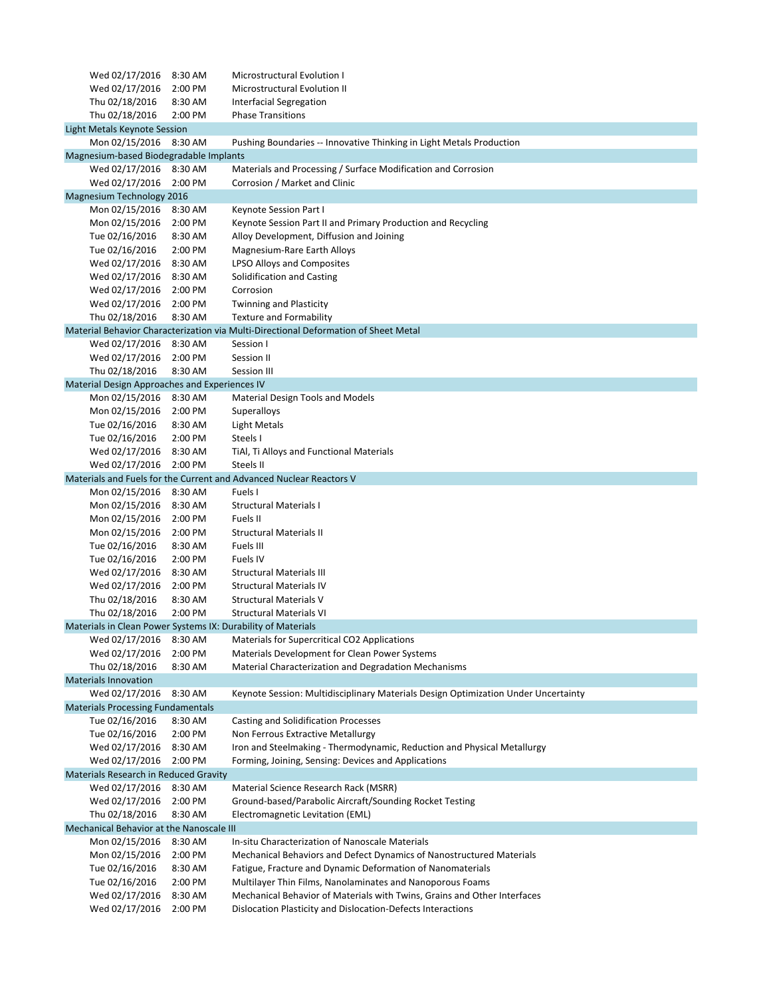| Wed 02/17/2016                                | 8:30 AM | Microstructural Evolution I                                                         |  |
|-----------------------------------------------|---------|-------------------------------------------------------------------------------------|--|
| Wed 02/17/2016                                | 2:00 PM | Microstructural Evolution II                                                        |  |
| Thu 02/18/2016                                | 8:30 AM | <b>Interfacial Segregation</b>                                                      |  |
| Thu 02/18/2016                                | 2:00 PM | <b>Phase Transitions</b>                                                            |  |
| Light Metals Keynote Session                  |         |                                                                                     |  |
| Mon 02/15/2016                                | 8:30 AM | Pushing Boundaries -- Innovative Thinking in Light Metals Production                |  |
| Magnesium-based Biodegradable Implants        |         |                                                                                     |  |
| Wed 02/17/2016                                | 8:30 AM | Materials and Processing / Surface Modification and Corrosion                       |  |
| Wed 02/17/2016                                | 2:00 PM | Corrosion / Market and Clinic                                                       |  |
| <b>Magnesium Technology 2016</b>              |         |                                                                                     |  |
| Mon 02/15/2016                                | 8:30 AM | Keynote Session Part I                                                              |  |
| Mon 02/15/2016                                | 2:00 PM | Keynote Session Part II and Primary Production and Recycling                        |  |
| Tue 02/16/2016                                | 8:30 AM | Alloy Development, Diffusion and Joining                                            |  |
| Tue 02/16/2016                                | 2:00 PM | Magnesium-Rare Earth Alloys                                                         |  |
| Wed 02/17/2016                                | 8:30 AM | LPSO Alloys and Composites                                                          |  |
| Wed 02/17/2016                                | 8:30 AM | Solidification and Casting                                                          |  |
| Wed 02/17/2016                                | 2:00 PM | Corrosion                                                                           |  |
| Wed 02/17/2016                                | 2:00 PM | <b>Twinning and Plasticity</b>                                                      |  |
| Thu 02/18/2016                                | 8:30 AM | <b>Texture and Formability</b>                                                      |  |
|                                               |         | Material Behavior Characterization via Multi-Directional Deformation of Sheet Metal |  |
| Wed 02/17/2016                                | 8:30 AM | Session I                                                                           |  |
|                                               |         |                                                                                     |  |
| Wed 02/17/2016                                | 2:00 PM | Session II                                                                          |  |
| Thu 02/18/2016                                | 8:30 AM | Session III                                                                         |  |
| Material Design Approaches and Experiences IV |         |                                                                                     |  |
| Mon 02/15/2016                                | 8:30 AM | <b>Material Design Tools and Models</b>                                             |  |
| Mon 02/15/2016                                | 2:00 PM | Superalloys                                                                         |  |
| Tue 02/16/2016                                | 8:30 AM | <b>Light Metals</b>                                                                 |  |
| Tue 02/16/2016                                | 2:00 PM | Steels I                                                                            |  |
| Wed 02/17/2016                                | 8:30 AM | TiAl, Ti Alloys and Functional Materials                                            |  |
| Wed 02/17/2016                                | 2:00 PM | Steels II                                                                           |  |
|                                               |         | Materials and Fuels for the Current and Advanced Nuclear Reactors V                 |  |
| Mon 02/15/2016                                | 8:30 AM | Fuels I                                                                             |  |
| Mon 02/15/2016                                | 8:30 AM | <b>Structural Materials I</b>                                                       |  |
| Mon 02/15/2016                                | 2:00 PM | Fuels II                                                                            |  |
| Mon 02/15/2016                                | 2:00 PM | <b>Structural Materials II</b>                                                      |  |
| Tue 02/16/2016                                | 8:30 AM | Fuels III                                                                           |  |
| Tue 02/16/2016                                | 2:00 PM | Fuels IV                                                                            |  |
| Wed 02/17/2016                                | 8:30 AM | <b>Structural Materials III</b>                                                     |  |
| Wed 02/17/2016                                | 2:00 PM | <b>Structural Materials IV</b>                                                      |  |
| Thu 02/18/2016                                | 8:30 AM | <b>Structural Materials V</b>                                                       |  |
| Thu 02/18/2016                                | 2:00 PM | <b>Structural Materials VI</b>                                                      |  |
|                                               |         | Materials in Clean Power Systems IX: Durability of Materials                        |  |
| Wed 02/17/2016                                | 8:30 AM | Materials for Supercritical CO2 Applications                                        |  |
| Wed 02/17/2016                                | 2:00 PM | Materials Development for Clean Power Systems                                       |  |
| Thu 02/18/2016                                | 8:30 AM | Material Characterization and Degradation Mechanisms                                |  |
| <b>Materials Innovation</b>                   |         |                                                                                     |  |
| Wed 02/17/2016                                | 8:30 AM | Keynote Session: Multidisciplinary Materials Design Optimization Under Uncertainty  |  |
| <b>Materials Processing Fundamentals</b>      |         |                                                                                     |  |
| Tue 02/16/2016                                | 8:30 AM | <b>Casting and Solidification Processes</b>                                         |  |
| Tue 02/16/2016                                | 2:00 PM | Non Ferrous Extractive Metallurgy                                                   |  |
| Wed 02/17/2016                                | 8:30 AM | Iron and Steelmaking - Thermodynamic, Reduction and Physical Metallurgy             |  |
| Wed 02/17/2016                                | 2:00 PM | Forming, Joining, Sensing: Devices and Applications                                 |  |
| <b>Materials Research in Reduced Gravity</b>  |         |                                                                                     |  |
| Wed 02/17/2016                                | 8:30 AM | Material Science Research Rack (MSRR)                                               |  |
| Wed 02/17/2016                                | 2:00 PM | Ground-based/Parabolic Aircraft/Sounding Rocket Testing                             |  |
| Thu 02/18/2016                                | 8:30 AM | Electromagnetic Levitation (EML)                                                    |  |
| Mechanical Behavior at the Nanoscale III      |         |                                                                                     |  |
| Mon 02/15/2016                                | 8:30 AM | In-situ Characterization of Nanoscale Materials                                     |  |
| Mon 02/15/2016                                | 2:00 PM | Mechanical Behaviors and Defect Dynamics of Nanostructured Materials                |  |
| Tue 02/16/2016                                | 8:30 AM | Fatigue, Fracture and Dynamic Deformation of Nanomaterials                          |  |
| Tue 02/16/2016                                | 2:00 PM | Multilayer Thin Films, Nanolaminates and Nanoporous Foams                           |  |
| Wed 02/17/2016                                | 8:30 AM | Mechanical Behavior of Materials with Twins, Grains and Other Interfaces            |  |
| Wed 02/17/2016 2:00 PM                        |         | Dislocation Plasticity and Dislocation-Defects Interactions                         |  |
|                                               |         |                                                                                     |  |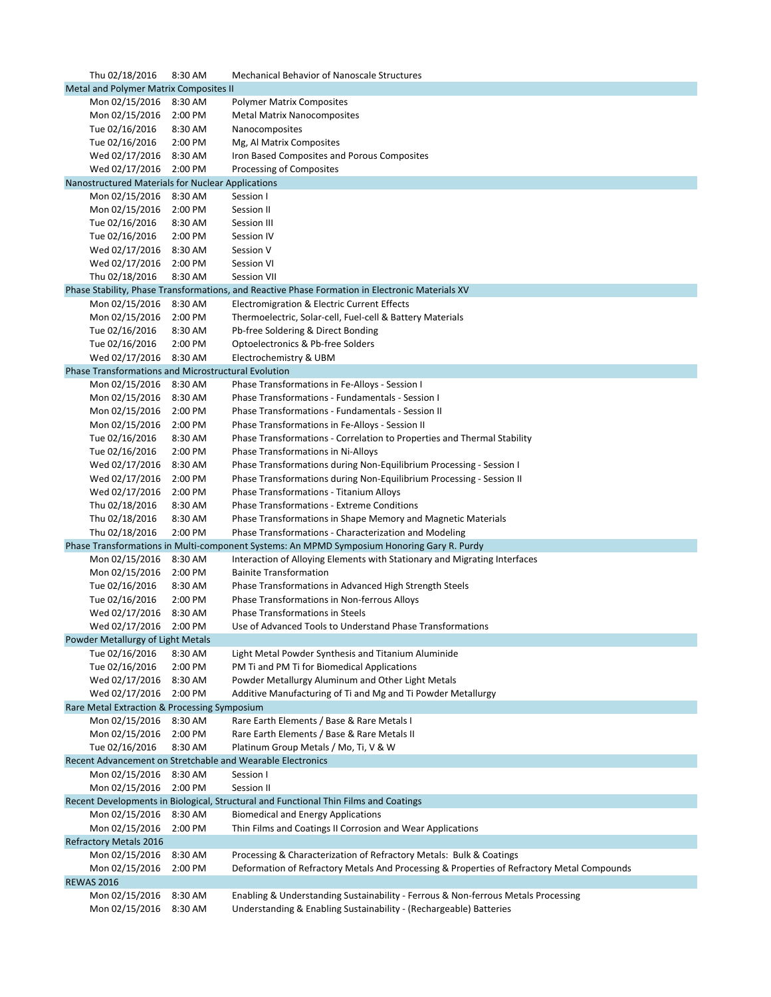| Thu 02/18/2016                                      | 8:30 AM | <b>Mechanical Behavior of Nanoscale Structures</b>                                              |
|-----------------------------------------------------|---------|-------------------------------------------------------------------------------------------------|
| Metal and Polymer Matrix Composites II              |         |                                                                                                 |
| Mon 02/15/2016                                      | 8:30 AM | <b>Polymer Matrix Composites</b>                                                                |
| Mon 02/15/2016                                      | 2:00 PM | <b>Metal Matrix Nanocomposites</b>                                                              |
| Tue 02/16/2016                                      | 8:30 AM | Nanocomposites                                                                                  |
| Tue 02/16/2016                                      | 2:00 PM | Mg, Al Matrix Composites                                                                        |
|                                                     |         |                                                                                                 |
| Wed 02/17/2016                                      | 8:30 AM | Iron Based Composites and Porous Composites                                                     |
| Wed 02/17/2016                                      | 2:00 PM | Processing of Composites                                                                        |
| Nanostructured Materials for Nuclear Applications   |         |                                                                                                 |
| Mon 02/15/2016                                      | 8:30 AM | Session I                                                                                       |
| Mon 02/15/2016                                      | 2:00 PM | Session II                                                                                      |
| Tue 02/16/2016                                      | 8:30 AM | Session III                                                                                     |
| Tue 02/16/2016                                      | 2:00 PM | Session IV                                                                                      |
| Wed 02/17/2016                                      | 8:30 AM | Session V                                                                                       |
| Wed 02/17/2016                                      | 2:00 PM | Session VI                                                                                      |
| Thu 02/18/2016                                      | 8:30 AM | <b>Session VII</b>                                                                              |
|                                                     |         | Phase Stability, Phase Transformations, and Reactive Phase Formation in Electronic Materials XV |
|                                                     | 8:30 AM |                                                                                                 |
| Mon 02/15/2016                                      |         | Electromigration & Electric Current Effects                                                     |
| Mon 02/15/2016                                      | 2:00 PM | Thermoelectric, Solar-cell, Fuel-cell & Battery Materials                                       |
| Tue 02/16/2016                                      | 8:30 AM | Pb-free Soldering & Direct Bonding                                                              |
| Tue 02/16/2016                                      | 2:00 PM | Optoelectronics & Pb-free Solders                                                               |
| Wed 02/17/2016                                      | 8:30 AM | Electrochemistry & UBM                                                                          |
| Phase Transformations and Microstructural Evolution |         |                                                                                                 |
| Mon 02/15/2016                                      | 8:30 AM | Phase Transformations in Fe-Alloys - Session I                                                  |
| Mon 02/15/2016                                      | 8:30 AM | Phase Transformations - Fundamentals - Session I                                                |
| Mon 02/15/2016                                      | 2:00 PM | Phase Transformations - Fundamentals - Session II                                               |
| Mon 02/15/2016                                      | 2:00 PM | Phase Transformations in Fe-Alloys - Session II                                                 |
| Tue 02/16/2016                                      | 8:30 AM | Phase Transformations - Correlation to Properties and Thermal Stability                         |
| Tue 02/16/2016                                      | 2:00 PM | Phase Transformations in Ni-Alloys                                                              |
| Wed 02/17/2016                                      | 8:30 AM | Phase Transformations during Non-Equilibrium Processing - Session I                             |
| Wed 02/17/2016                                      | 2:00 PM | Phase Transformations during Non-Equilibrium Processing - Session II                            |
| Wed 02/17/2016                                      | 2:00 PM | <b>Phase Transformations - Titanium Alloys</b>                                                  |
| Thu 02/18/2016                                      | 8:30 AM | <b>Phase Transformations - Extreme Conditions</b>                                               |
| Thu 02/18/2016                                      | 8:30 AM | Phase Transformations in Shape Memory and Magnetic Materials                                    |
| Thu 02/18/2016                                      | 2:00 PM | Phase Transformations - Characterization and Modeling                                           |
|                                                     |         | Phase Transformations in Multi-component Systems: An MPMD Symposium Honoring Gary R. Purdy      |
|                                                     |         |                                                                                                 |
| Mon 02/15/2016                                      | 8:30 AM | Interaction of Alloying Elements with Stationary and Migrating Interfaces                       |
| Mon 02/15/2016                                      | 2:00 PM | <b>Bainite Transformation</b>                                                                   |
| Tue 02/16/2016                                      | 8:30 AM | Phase Transformations in Advanced High Strength Steels                                          |
| Tue 02/16/2016                                      | 2:00 PM | Phase Transformations in Non-ferrous Alloys                                                     |
| Wed 02/17/2016                                      | 8:30 AM | <b>Phase Transformations in Steels</b>                                                          |
| Wed 02/17/2016                                      | 2:00 PM | Use of Advanced Tools to Understand Phase Transformations                                       |
| Powder Metallurgy of Light Metals                   |         |                                                                                                 |
| Tue 02/16/2016                                      | 8:30 AM | Light Metal Powder Synthesis and Titanium Aluminide                                             |
| Tue 02/16/2016                                      | 2:00 PM | PM Ti and PM Ti for Biomedical Applications                                                     |
| Wed 02/17/2016                                      | 8:30 AM | Powder Metallurgy Aluminum and Other Light Metals                                               |
| Wed 02/17/2016                                      | 2:00 PM | Additive Manufacturing of Ti and Mg and Ti Powder Metallurgy                                    |
| Rare Metal Extraction & Processing Symposium        |         |                                                                                                 |
| Mon 02/15/2016                                      | 8:30 AM | Rare Earth Elements / Base & Rare Metals I                                                      |
| Mon 02/15/2016                                      | 2:00 PM | Rare Earth Elements / Base & Rare Metals II                                                     |
| Tue 02/16/2016                                      | 8:30 AM | Platinum Group Metals / Mo, Ti, V & W                                                           |
|                                                     |         | Recent Advancement on Stretchable and Wearable Electronics                                      |
| Mon 02/15/2016                                      | 8:30 AM | Session I                                                                                       |
| Mon 02/15/2016                                      | 2:00 PM | Session II                                                                                      |
|                                                     |         | Recent Developments in Biological, Structural and Functional Thin Films and Coatings            |
|                                                     |         |                                                                                                 |
| Mon 02/15/2016                                      | 8:30 AM | <b>Biomedical and Energy Applications</b>                                                       |
| Mon 02/15/2016                                      | 2:00 PM | Thin Films and Coatings II Corrosion and Wear Applications                                      |
| <b>Refractory Metals 2016</b>                       |         |                                                                                                 |
| Mon 02/15/2016                                      | 8:30 AM | Processing & Characterization of Refractory Metals: Bulk & Coatings                             |
| Mon 02/15/2016                                      | 2:00 PM | Deformation of Refractory Metals And Processing & Properties of Refractory Metal Compounds      |
| <b>REWAS 2016</b>                                   |         |                                                                                                 |
|                                                     | 8:30 AM | Enabling & Understanding Sustainability - Ferrous & Non-ferrous Metals Processing               |
| Mon 02/15/2016<br>Mon 02/15/2016 8:30 AM            |         | Understanding & Enabling Sustainability - (Rechargeable) Batteries                              |